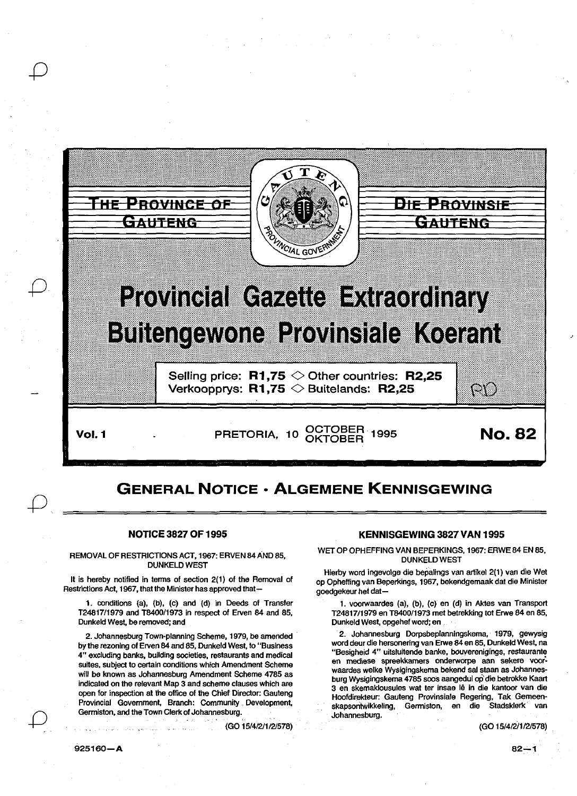

## GENERAL NOTICE • ALGEMENE KENNISGEWING

## NOTICE 3827 OF 1995

REMOVAL OF RESTRICTIONS ACT, 1967: ERVEN 84 AND 85, DUNKELD WEST

It is hereby notified in terms of section 2(1) of the Removal of Restrictions Act, 1967, that the Minister has approved that-

1. conditions (a), (b), (c) and (d) in Deeds of Transfer T2481711979 and T8400/1973 in respect of Erven 84 and 85, Dunkeld West, be removed; and

2. Johannesburg Town-planning Scheme, 1979, be amended by the rezoning of Erven 84 and 85, Dunkeld West, to "Business 4" excluding banks, building societies, restaurants and medical suites, subject to certain conditions which Amendment Scheme will be known as Johannesburg Amendment Scheme 4785 as indicated on the relevant Map 3 and scheme clauses which are open for inspection at the office of the Chief Director: Gauteng Provincial Government, Branch: Community Development, Germiston, and the Town Clerk of Johannesburg.

(GO 15/412/112/578)

## KENNISGEWING 3827 VAN 1995

WET OP OPHEFFING VAN BEPERKINGS, 1967: ERWE 84 EN 85, DUNKELD WEST

Hierby word ingevolge die bepalings van artikel 2(1) van die Wet op Opheffing van Beperkings, 1967, bekendgemaak dat die Minister goedgekeur het dat-

1. voorwaardes (a), (b), (c) en (d) in Ak1es van Transport T24817/1979 en T8400/1973 met betrekking tot Erwe 84 en 85, Dunkeld West, opgehef word; en

2. Johannesburg Dorpsbeplanningskema, 1979, gewysig word deur die hersonering van Erwe 84 en 85, Dunkeld West, na "Besigheid 4" uitsluitende banke, bouverenigings, restaurante en mediese spreekkamers onderworpe aan sekere voor: waardes welke Wysigingskema bekend sal staan as Johannesburg Wysigingskema 4785 soos aangedui op die betrokke Kaart 3 en skemaklousules wat ter insae lê in die kantoor van die Hoofdirekteur: Gauteng Provinsiale Regering, Tak Gemeenskapsontwikkeling, Germiston, en die Stadsklerk van Johannesburg.

(GO 15/4/2/1/2/578)

*0*